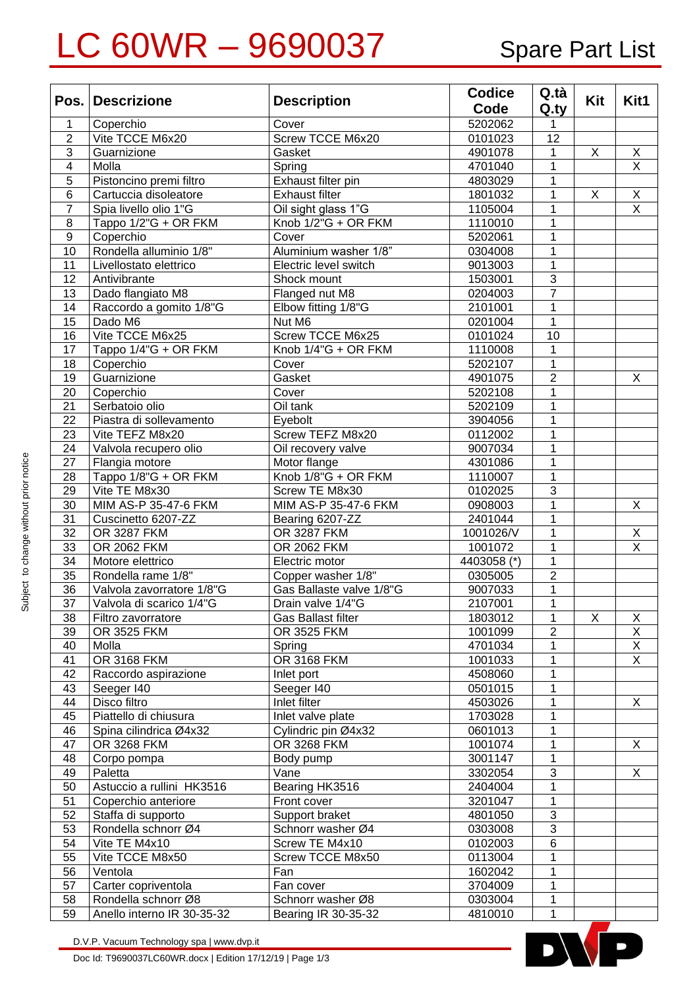## LC 60WR - 9690037 Spare Part List

|                         | Pos. Descrizione           | <b>Description</b>       | <b>Codice</b> | Q.tà           |     |                         |
|-------------------------|----------------------------|--------------------------|---------------|----------------|-----|-------------------------|
|                         |                            |                          | Code          | Q.ty           | Kit | Kit1                    |
| 1                       | Coperchio                  | Cover                    | 5202062       | 1              |     |                         |
| $\overline{2}$          | Vite TCCE M6x20            | Screw TCCE M6x20         | 0101023       | 12             |     |                         |
| $\overline{3}$          | Guarnizione                | Gasket                   | 4901078       | 1              | X   | X                       |
| $\overline{\mathbf{4}}$ | Molla                      | Spring                   | 4701040       | $\mathbf 1$    |     | $\overline{\mathsf{X}}$ |
| $\overline{5}$          | Pistoncino premi filtro    | Exhaust filter pin       | 4803029       | $\mathbf 1$    |     |                         |
| $\,6$                   | Cartuccia disoleatore      | <b>Exhaust filter</b>    | 1801032       | 1              | X   | $\mathsf X$             |
| $\overline{7}$          | Spia livello olio 1"G      | Oil sight glass 1"G      | 1105004       | $\mathbf 1$    |     | $\overline{\mathsf{x}}$ |
| 8                       | Tappo 1/2"G + OR FKM       | Knob 1/2"G + OR FKM      | 1110010       | $\mathbf 1$    |     |                         |
| $\overline{9}$          | Coperchio                  | Cover                    | 5202061       | 1              |     |                         |
| 10                      | Rondella alluminio 1/8"    | Aluminium washer 1/8"    | 0304008       | $\mathbf 1$    |     |                         |
| 11                      | Livellostato elettrico     | Electric level switch    | 9013003       | $\mathbf 1$    |     |                         |
| 12                      | Antivibrante               | Shock mount              | 1503001       | $\overline{3}$ |     |                         |
| 13                      | Dado flangiato M8          | Flanged nut M8           | 0204003       | $\overline{7}$ |     |                         |
| 14                      | Raccordo a gomito 1/8"G    | Elbow fitting 1/8"G      | 2101001       | $\mathbf 1$    |     |                         |
| 15                      | Dado M6                    | Nut M6                   | 0201004       | $\mathbf 1$    |     |                         |
| 16                      | Vite TCCE M6x25            | Screw TCCE M6x25         | 0101024       | 10             |     |                         |
| 17                      | Tappo 1/4"G + OR FKM       | Knob 1/4"G + OR FKM      | 1110008       | $\mathbf 1$    |     |                         |
| 18                      | Coperchio                  | Cover                    | 5202107       | $\mathbf 1$    |     |                         |
| 19                      | Guarnizione                | Gasket                   | 4901075       | $\overline{2}$ |     | X                       |
| 20                      | Coperchio                  | Cover                    | 5202108       | $\mathbf 1$    |     |                         |
| 21                      | Serbatoio olio             | Oil tank                 | 5202109       | $\mathbf 1$    |     |                         |
| 22                      | Piastra di sollevamento    | Eyebolt                  | 3904056       | $\mathbf 1$    |     |                         |
| 23                      | Vite TEFZ M8x20            | Screw TEFZ M8x20         | 0112002       | $\mathbf 1$    |     |                         |
| 24                      | Valvola recupero olio      | Oil recovery valve       | 9007034       | $\mathbf 1$    |     |                         |
| 27                      | Flangia motore             | Motor flange             | 4301086       | $\mathbf 1$    |     |                         |
| 28                      | Tappo 1/8"G + OR FKM       | Knob 1/8"G + OR FKM      | 1110007       | $\mathbf 1$    |     |                         |
| 29                      | Vite TE M8x30              | Screw TE M8x30           | 0102025       | $\overline{3}$ |     |                         |
| 30                      | MIM AS-P 35-47-6 FKM       | MIM AS-P 35-47-6 FKM     | 0908003       | $\mathbf{1}$   |     | X                       |
| 31                      | Cuscinetto 6207-ZZ         | Bearing 6207-ZZ          | 2401044       | 1              |     |                         |
| 32                      | OR 3287 FKM                | OR 3287 FKM              | 1001026/V     | 1              |     | X                       |
| 33                      | OR 2062 FKM                | OR 2062 FKM              | 1001072       | 1              |     | $\overline{\mathsf{x}}$ |
| 34                      | Motore elettrico           | Electric motor           | 4403058 (*)   | 1              |     |                         |
| 35                      | Rondella rame 1/8"         | Copper washer 1/8"       | 0305005       | $\overline{2}$ |     |                         |
| 36                      | Valvola zavorratore 1/8"G  | Gas Ballaste valve 1/8"G | 9007033       | 1              |     |                         |
| 37                      | Valvola di scarico 1/4"G   | Drain valve 1/4"G        | 2107001       | 1              |     |                         |
| 38                      | Filtro zavorratore         | Gas Ballast filter       | 1803012       | 1              | X   | X                       |
| 39                      | OR 3525 FKM                | OR 3525 FKM              | 1001099       | 2              |     | Χ                       |
| 40                      | Molla                      | Spring                   | 4701034       | 1              |     | $\overline{X}$          |
| 41                      | <b>OR 3168 FKM</b>         | OR 3168 FKM              | 1001033       | 1              |     | $\overline{X}$          |
| 42                      | Raccordo aspirazione       | Inlet port               | 4508060       | 1              |     |                         |
| 43                      | Seeger I40                 | Seeger I40               | 0501015       | 1              |     |                         |
| 44                      | Disco filtro               | Inlet filter             | 4503026       | 1              |     | X                       |
| 45                      | Piattello di chiusura      | Inlet valve plate        | 1703028       | 1              |     |                         |
| 46                      | Spina cilindrica Ø4x32     | Cylindric pin Ø4x32      | 0601013       | 1              |     |                         |
| 47                      | OR 3268 FKM                | OR 3268 FKM              | 1001074       | 1              |     | X                       |
| 48                      | Corpo pompa                | Body pump                | 3001147       | 1              |     |                         |
| 49                      | Paletta                    | Vane                     | 3302054       | $\sqrt{3}$     |     | X                       |
| 50                      | Astuccio a rullini HK3516  | Bearing HK3516           | 2404004       | 1              |     |                         |
| 51                      | Coperchio anteriore        | Front cover              | 3201047       | 1              |     |                         |
| 52                      | Staffa di supporto         | Support braket           | 4801050       | $\sqrt{3}$     |     |                         |
| 53                      | Rondella schnorr Ø4        | Schnorr washer Ø4        | 0303008       | 3              |     |                         |
| 54                      | Vite TE M4x10              | Screw TE M4x10           | 0102003       | 6              |     |                         |
| 55                      | Vite TCCE M8x50            | Screw TCCE M8x50         | 0113004       | 1              |     |                         |
| 56                      | Ventola                    | Fan                      | 1602042       | 1              |     |                         |
| 57                      | Carter copriventola        | Fan cover                | 3704009       | 1              |     |                         |
| 58                      | Rondella schnorr Ø8        | Schnorr washer Ø8        | 0303004       | 1              |     |                         |
| 59                      | Anello interno IR 30-35-32 | Bearing IR 30-35-32      | 4810010       | 1              |     |                         |



D.V.P. Vacuum Technology spa | www.dvp.it

Doc Id: T9690037LC60WR.docx | Edition 17/12/19 | Page 1/3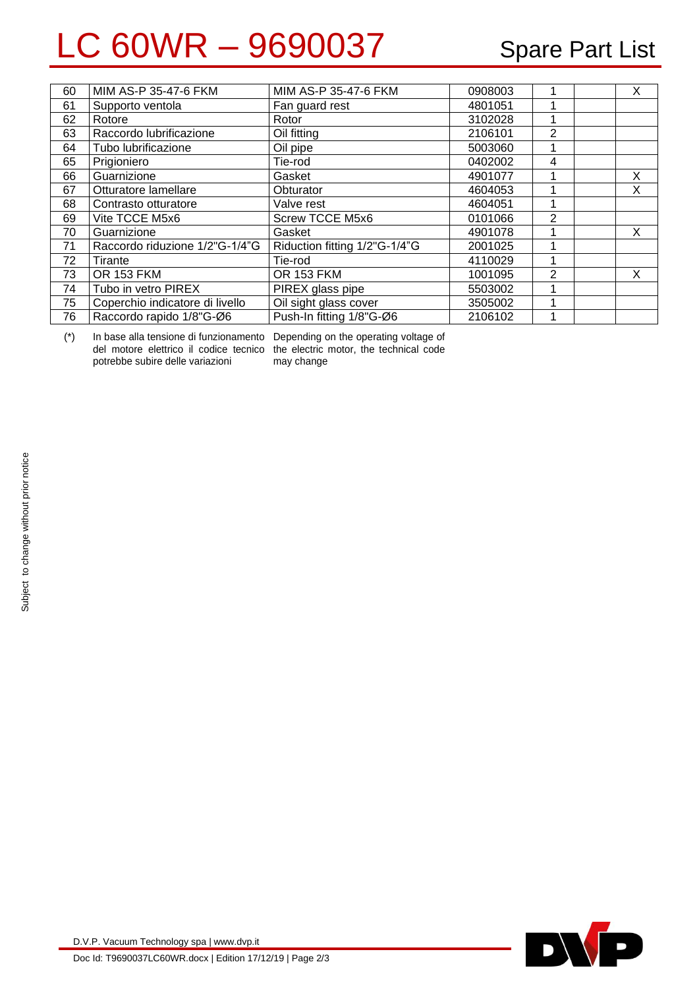## LC 60WR - 9690037 Spare Part List

| 60 | MIM AS-P 35-47-6 FKM            | MIM AS-P 35-47-6 FKM          | 0908003 |                | X |
|----|---------------------------------|-------------------------------|---------|----------------|---|
| 61 | Supporto ventola                | Fan guard rest                | 4801051 |                |   |
| 62 | Rotore                          | Rotor                         | 3102028 |                |   |
| 63 | Raccordo lubrificazione         | Oil fitting                   | 2106101 | 2              |   |
| 64 | Tubo lubrificazione             | Oil pipe                      | 5003060 |                |   |
| 65 | Prigioniero                     | Tie-rod                       | 0402002 | 4              |   |
| 66 | Guarnizione                     | Gasket                        | 4901077 | 1              | X |
| 67 | Otturatore lamellare            | Obturator                     | 4604053 | 4              | X |
| 68 | Contrasto otturatore            | Valve rest                    | 4604051 |                |   |
| 69 | Vite TCCE M5x6                  | <b>Screw TCCE M5x6</b>        | 0101066 | $\overline{2}$ |   |
| 70 | Guarnizione                     | Gasket                        | 4901078 |                | X |
| 71 | Raccordo riduzione 1/2"G-1/4"G  | Riduction fitting 1/2"G-1/4"G | 2001025 |                |   |
| 72 | Tirante                         | Tie-rod                       | 4110029 | 4              |   |
| 73 | <b>OR 153 FKM</b>               | <b>OR 153 FKM</b>             | 1001095 | 2              | X |
| 74 | Tubo in vetro PIREX             | PIREX glass pipe              | 5503002 |                |   |
| 75 | Coperchio indicatore di livello | Oil sight glass cover         | 3505002 |                |   |
| 76 | Raccordo rapido 1/8"G-Ø6        | Push-In fitting 1/8"G-Ø6      | 2106102 |                |   |

(\*) In base alla tensione di funzionamento Depending on the operating voltage of potrebbe subire delle variazioni

del motore elettrico il codice tecnico the electric motor, the technical code may change